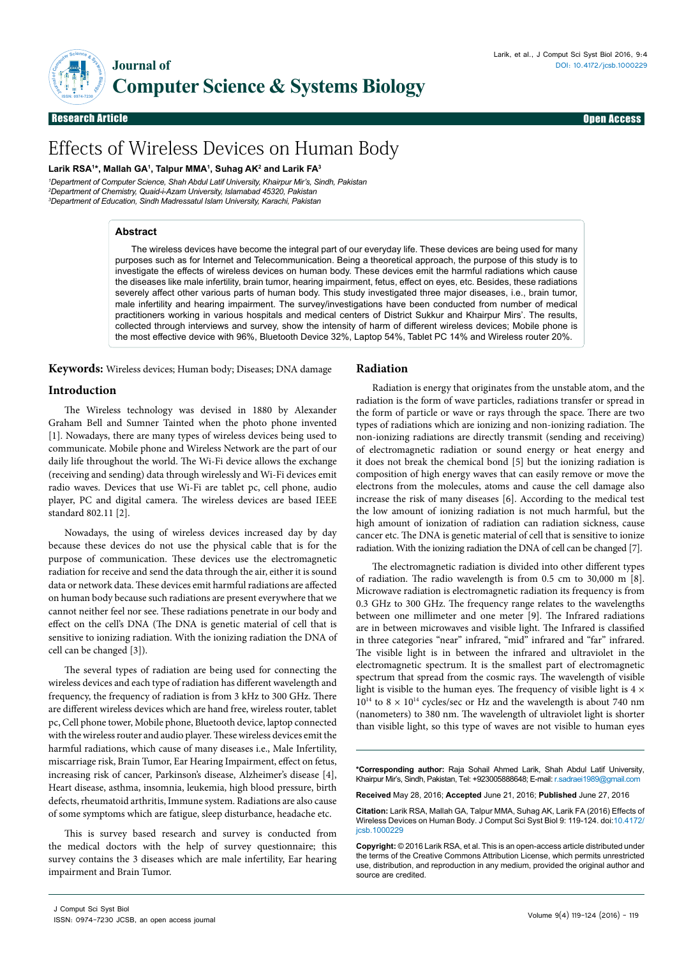

Research Article Open Access Research Article Open Access

# Effects of Wireless Devices on Human Body

**Larik RSA1 \*, Mallah GA1 , Talpur MMA1 , Suhag AK2 and Larik FA3**

*1 Department of Computer Science, Shah Abdul Latif University, Khairpur Mir's, Sindh, Pakistan 2 Department of Chemistry, Quaid-i-Azam University, Islamabad 45320, Pakistan 3 Department of Education, Sindh Madressatul Islam University, Karachi, Pakistan*

## **Abstract**

The wireless devices have become the integral part of our everyday life. These devices are being used for many purposes such as for Internet and Telecommunication. Being a theoretical approach, the purpose of this study is to investigate the effects of wireless devices on human body. These devices emit the harmful radiations which cause the diseases like male infertility, brain tumor, hearing impairment, fetus, effect on eyes, etc. Besides, these radiations severely affect other various parts of human body. This study investigated three major diseases, i.e., brain tumor, male infertility and hearing impairment. The survey/investigations have been conducted from number of medical practitioners working in various hospitals and medical centers of District Sukkur and Khairpur Mirs'. The results, collected through interviews and survey, show the intensity of harm of different wireless devices; Mobile phone is the most effective device with 96%, Bluetooth Device 32%, Laptop 54%, Tablet PC 14% and Wireless router 20%.

**Keywords:** Wireless devices; Human body; Diseases; DNA damage

## **Introduction**

The Wireless technology was devised in 1880 by Alexander Graham Bell and Sumner Tainted when the photo phone invented [1]. Nowadays, there are many types of wireless devices being used to communicate. Mobile phone and Wireless Network are the part of our daily life throughout the world. The Wi-Fi device allows the exchange (receiving and sending) data through wirelessly and Wi-Fi devices emit radio waves. Devices that use Wi-Fi are tablet pc, cell phone, audio player, PC and digital camera. The wireless devices are based IEEE standard 802.11 [2].

Nowadays, the using of wireless devices increased day by day because these devices do not use the physical cable that is for the purpose of communication. These devices use the electromagnetic radiation for receive and send the data through the air, either it is sound data or network data. These devices emit harmful radiations are affected on human body because such radiations are present everywhere that we cannot neither feel nor see. These radiations penetrate in our body and effect on the cell's DNA (The DNA is genetic material of cell that is sensitive to ionizing radiation. With the ionizing radiation the DNA of cell can be changed [3]).

The several types of radiation are being used for connecting the wireless devices and each type of radiation has different wavelength and frequency, the frequency of radiation is from 3 kHz to 300 GHz. There are different wireless devices which are hand free, wireless router, tablet pc, Cell phone tower, Mobile phone, Bluetooth device, laptop connected with the wireless router and audio player. These wireless devices emit the harmful radiations, which cause of many diseases i.e., Male Infertility, miscarriage risk, Brain Tumor, Ear Hearing Impairment, effect on fetus, increasing risk of cancer, Parkinson's disease, Alzheimer's disease [4], Heart disease, asthma, insomnia, leukemia, high blood pressure, birth defects, rheumatoid arthritis, Immune system. Radiations are also cause of some symptoms which are fatigue, sleep disturbance, headache etc.

This is survey based research and survey is conducted from the medical doctors with the help of survey questionnaire; this survey contains the 3 diseases which are male infertility, Ear hearing impairment and Brain Tumor.

### **Radiation**

Radiation is energy that originates from the unstable atom, and the radiation is the form of wave particles, radiations transfer or spread in the form of particle or wave or rays through the space. There are two types of radiations which are ionizing and non-ionizing radiation. The non-ionizing radiations are directly transmit (sending and receiving) of electromagnetic radiation or sound energy or heat energy and it does not break the chemical bond [5] but the ionizing radiation is composition of high energy waves that can easily remove or move the electrons from the molecules, atoms and cause the cell damage also increase the risk of many diseases [6]. According to the medical test the low amount of ionizing radiation is not much harmful, but the high amount of ionization of radiation can radiation sickness, cause cancer etc. The DNA is genetic material of cell that is sensitive to ionize radiation. With the ionizing radiation the DNA of cell can be changed [7].

The electromagnetic radiation is divided into other different types of radiation. The radio wavelength is from 0.5 cm to 30,000 m [8]. Microwave radiation is electromagnetic radiation its frequency is from 0.3 GHz to 300 GHz. The frequency range relates to the wavelengths between one millimeter and one meter [9]. The Infrared radiations are in between microwaves and visible light. The Infrared is classified in three categories "near" infrared, "mid" infrared and "far" infrared. The visible light is in between the infrared and ultraviolet in the electromagnetic spectrum. It is the smallest part of electromagnetic spectrum that spread from the cosmic rays. The wavelength of visible light is visible to the human eyes. The frequency of visible light is  $4 \times$  $10^{14}$  to  $8 \times 10^{14}$  cycles/sec or Hz and the wavelength is about 740 nm (nanometers) to 380 nm. The wavelength of ultraviolet light is shorter than visible light, so this type of waves are not visible to human eyes

**\*Corresponding author:** Raja Sohail Ahmed Larik, Shah Abdul Latif University, Khairpur Mir's, Sindh, Pakistan, Tel: +923005888648; E-mail: [r.sadraei1989@gmail.com](mailto:r.sadraei1989@gmail.com)

**Received** May 28, 2016; **Accepted** June 21, 2016; **Published** June 27, 2016

**Citation:** Larik RSA, Mallah GA, Talpur MMA, Suhag AK, Larik FA (2016) Effects of Wireless Devices on Human Body. J Comput Sci Syst Biol 9: 119-124. doi:10.4172/ jcsb.1000229

**Copyright:** © 2016 Larik RSA, et al. This is an open-access article distributed under the terms of the Creative Commons Attribution License, which permits unrestricted use, distribution, and reproduction in any medium, provided the original author and source are credited.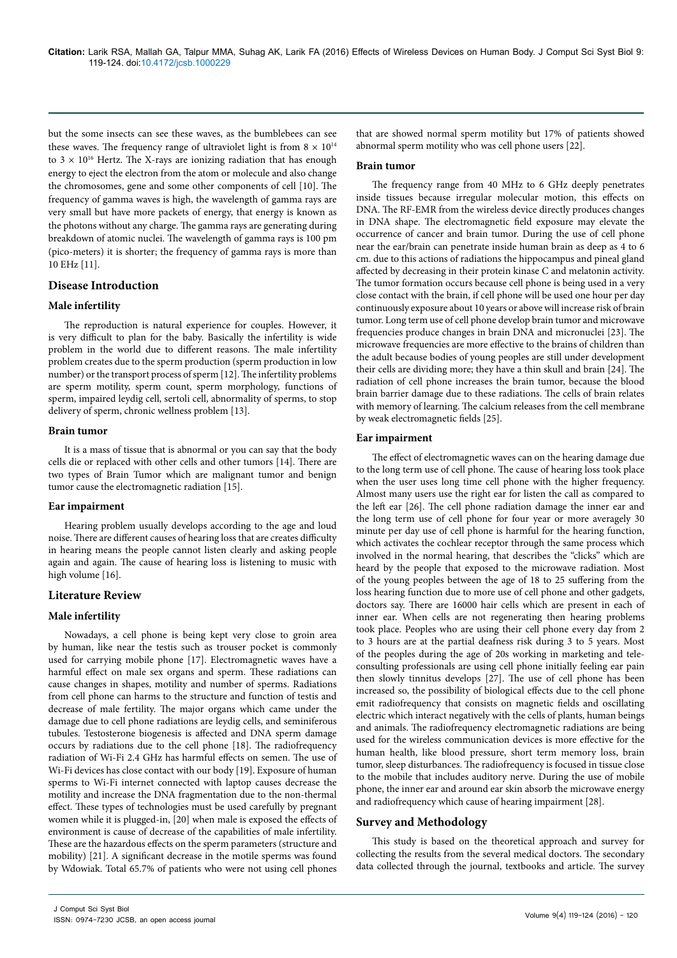but the some insects can see these waves, as the bumblebees can see these waves. The frequency range of ultraviolet light is from  $8 \times 10^{14}$ to  $3 \times 10^{16}$  Hertz. The X-rays are ionizing radiation that has enough energy to eject the electron from the atom or molecule and also change the chromosomes, gene and some other components of cell [10]. The frequency of gamma waves is high, the wavelength of gamma rays are very small but have more packets of energy, that energy is known as the photons without any charge. The gamma rays are generating during breakdown of atomic nuclei. The wavelength of gamma rays is 100 pm (pico-meters) it is shorter; the frequency of gamma rays is more than 10 EHz [11].

## **Disease Introduction**

### **Male infertility**

The reproduction is natural experience for couples. However, it is very difficult to plan for the baby. Basically the infertility is wide problem in the world due to different reasons. The male infertility problem creates due to the sperm production (sperm production in low number) or the transport process of sperm [12]. The infertility problems are sperm motility, sperm count, sperm morphology, functions of sperm, impaired leydig cell, sertoli cell, abnormality of sperms, to stop delivery of sperm, chronic wellness problem [13].

### **Brain tumor**

It is a mass of tissue that is abnormal or you can say that the body cells die or replaced with other cells and other tumors [14]. There are two types of Brain Tumor which are malignant tumor and benign tumor cause the electromagnetic radiation [15].

### **Ear impairment**

Hearing problem usually develops according to the age and loud noise. There are different causes of hearing loss that are creates difficulty in hearing means the people cannot listen clearly and asking people again and again. The cause of hearing loss is listening to music with high volume [16].

### **Literature Review**

### **Male infertility**

Nowadays, a cell phone is being kept very close to groin area by human, like near the testis such as trouser pocket is commonly used for carrying mobile phone [17]. Electromagnetic waves have a harmful effect on male sex organs and sperm. These radiations can cause changes in shapes, motility and number of sperms. Radiations from cell phone can harms to the structure and function of testis and decrease of male fertility. The major organs which came under the damage due to cell phone radiations are leydig cells, and seminiferous tubules. Testosterone biogenesis is affected and DNA sperm damage occurs by radiations due to the cell phone [18]. The radiofrequency radiation of Wi-Fi 2.4 GHz has harmful effects on semen. The use of Wi-Fi devices has close contact with our body [19]. Exposure of human sperms to Wi-Fi internet connected with laptop causes decrease the motility and increase the DNA fragmentation due to the non-thermal effect. These types of technologies must be used carefully by pregnant women while it is plugged-in, [20] when male is exposed the effects of environment is cause of decrease of the capabilities of male infertility. These are the hazardous effects on the sperm parameters (structure and mobility) [21]. A significant decrease in the motile sperms was found by Wdowiak. Total 65.7% of patients who were not using cell phones that are showed normal sperm motility but 17% of patients showed abnormal sperm motility who was cell phone users [22].

#### **Brain tumor**

The frequency range from 40 MHz to 6 GHz deeply penetrates inside tissues because irregular molecular motion, this effects on DNA. The RF-EMR from the wireless device directly produces changes in DNA shape. The electromagnetic field exposure may elevate the occurrence of cancer and brain tumor. During the use of cell phone near the ear/brain can penetrate inside human brain as deep as 4 to 6 cm. due to this actions of radiations the hippocampus and pineal gland affected by decreasing in their protein kinase C and melatonin activity. The tumor formation occurs because cell phone is being used in a very close contact with the brain, if cell phone will be used one hour per day continuously exposure about 10 years or above will increase risk of brain tumor. Long term use of cell phone develop brain tumor and microwave frequencies produce changes in brain DNA and micronuclei [23]. The microwave frequencies are more effective to the brains of children than the adult because bodies of young peoples are still under development their cells are dividing more; they have a thin skull and brain [24]. The radiation of cell phone increases the brain tumor, because the blood brain barrier damage due to these radiations. The cells of brain relates with memory of learning. The calcium releases from the cell membrane by weak electromagnetic fields [25].

#### **Ear impairment**

The effect of electromagnetic waves can on the hearing damage due to the long term use of cell phone. The cause of hearing loss took place when the user uses long time cell phone with the higher frequency. Almost many users use the right ear for listen the call as compared to the left ear [26]. The cell phone radiation damage the inner ear and the long term use of cell phone for four year or more averagely 30 minute per day use of cell phone is harmful for the hearing function, which activates the cochlear receptor through the same process which involved in the normal hearing, that describes the "clicks" which are heard by the people that exposed to the microwave radiation. Most of the young peoples between the age of 18 to 25 suffering from the loss hearing function due to more use of cell phone and other gadgets, doctors say. There are 16000 hair cells which are present in each of inner ear. When cells are not regenerating then hearing problems took place. Peoples who are using their cell phone every day from 2 to 3 hours are at the partial deafness risk during 3 to 5 years. Most of the peoples during the age of 20s working in marketing and teleconsulting professionals are using cell phone initially feeling ear pain then slowly tinnitus develops [27]. The use of cell phone has been increased so, the possibility of biological effects due to the cell phone emit radiofrequency that consists on magnetic fields and oscillating electric which interact negatively with the cells of plants, human beings and animals. The radiofrequency electromagnetic radiations are being used for the wireless communication devices is more effective for the human health, like blood pressure, short term memory loss, brain tumor, sleep disturbances. The radiofrequency is focused in tissue close to the mobile that includes auditory nerve. During the use of mobile phone, the inner ear and around ear skin absorb the microwave energy and radiofrequency which cause of hearing impairment [28].

### **Survey and Methodology**

This study is based on the theoretical approach and survey for collecting the results from the several medical doctors. The secondary data collected through the journal, textbooks and article. The survey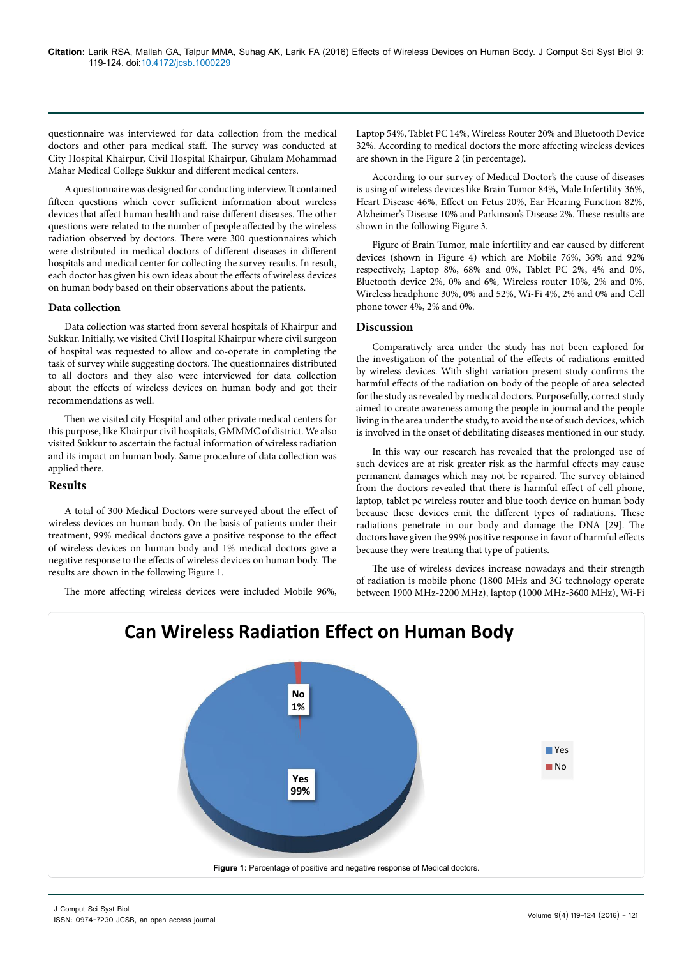questionnaire was interviewed for data collection from the medical doctors and other para medical staff. The survey was conducted at City Hospital Khairpur, Civil Hospital Khairpur, Ghulam Mohammad Mahar Medical College Sukkur and different medical centers.

A questionnaire was designed for conducting interview. It contained fifteen questions which cover sufficient information about wireless devices that affect human health and raise different diseases. The other questions were related to the number of people affected by the wireless radiation observed by doctors. There were 300 questionnaires which were distributed in medical doctors of different diseases in different hospitals and medical center for collecting the survey results. In result, each doctor has given his own ideas about the effects of wireless devices on human body based on their observations about the patients.

### **Data collection**

Data collection was started from several hospitals of Khairpur and Sukkur. Initially, we visited Civil Hospital Khairpur where civil surgeon of hospital was requested to allow and co-operate in completing the task of survey while suggesting doctors. The questionnaires distributed to all doctors and they also were interviewed for data collection about the effects of wireless devices on human body and got their recommendations as well.

Then we visited city Hospital and other private medical centers for this purpose, like Khairpur civil hospitals, GMMMC of district. We also visited Sukkur to ascertain the factual information of wireless radiation and its impact on human body. Same procedure of data collection was applied there.

### **Results**

A total of 300 Medical Doctors were surveyed about the effect of wireless devices on human body. On the basis of patients under their treatment, 99% medical doctors gave a positive response to the effect of wireless devices on human body and 1% medical doctors gave a negative response to the effects of wireless devices on human body. The results are shown in the following Figure 1.

The more affecting wireless devices were included Mobile 96%,

Laptop 54%, Tablet PC 14%, Wireless Router 20% and Bluetooth Device 32%. According to medical doctors the more affecting wireless devices are shown in the Figure 2 (in percentage).

According to our survey of Medical Doctor's the cause of diseases is using of wireless devices like Brain Tumor 84%, Male Infertility 36%, Heart Disease 46%, Effect on Fetus 20%, Ear Hearing Function 82%, Alzheimer's Disease 10% and Parkinson's Disease 2%. These results are shown in the following Figure 3.

Figure of Brain Tumor, male infertility and ear caused by different devices (shown in Figure 4) which are Mobile 76%, 36% and 92% respectively, Laptop 8%, 68% and 0%, Tablet PC 2%, 4% and 0%, Bluetooth device 2%, 0% and 6%, Wireless router 10%, 2% and 0%, Wireless headphone 30%, 0% and 52%, Wi-Fi 4%, 2% and 0% and Cell phone tower 4%, 2% and 0%.

## **Discussion**

Comparatively area under the study has not been explored for the investigation of the potential of the effects of radiations emitted by wireless devices. With slight variation present study confirms the harmful effects of the radiation on body of the people of area selected for the study as revealed by medical doctors. Purposefully, correct study aimed to create awareness among the people in journal and the people living in the area under the study, to avoid the use of such devices, which is involved in the onset of debilitating diseases mentioned in our study.

In this way our research has revealed that the prolonged use of such devices are at risk greater risk as the harmful effects may cause permanent damages which may not be repaired. The survey obtained from the doctors revealed that there is harmful effect of cell phone, laptop, tablet pc wireless router and blue tooth device on human body because these devices emit the different types of radiations. These radiations penetrate in our body and damage the DNA [29]. The doctors have given the 99% positive response in favor of harmful effects because they were treating that type of patients.

The use of wireless devices increase nowadays and their strength of radiation is mobile phone (1800 MHz and 3G technology operate between 1900 MHz-2200 MHz), laptop (1000 MHz-3600 MHz), Wi-Fi

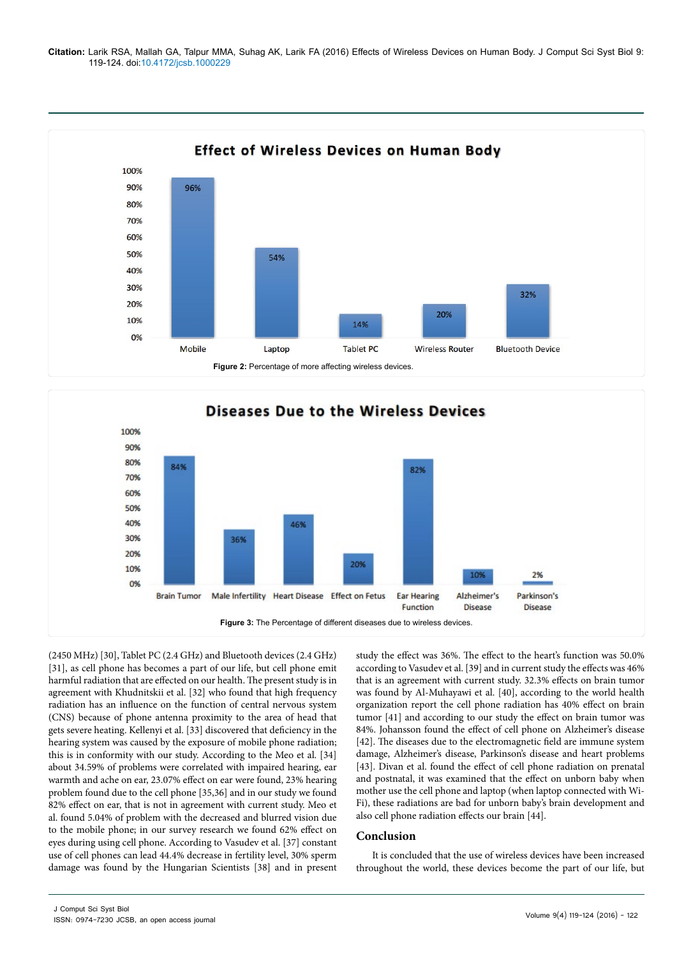**Citation:** Larik RSA, Mallah GA, Talpur MMA, Suhag AK, Larik FA (2016) Effects of Wireless Devices on Human Body. J Comput Sci Syst Biol 9: 119-124. doi:10.4172/jcsb.1000229





(2450 MHz) [30], Tablet PC (2.4 GHz) and Bluetooth devices (2.4 GHz) [31], as cell phone has becomes a part of our life, but cell phone emit harmful radiation that are effected on our health. The present study is in agreement with Khudnitskii et al. [32] who found that high frequency radiation has an influence on the function of central nervous system (CNS) because of phone antenna proximity to the area of head that gets severe heating. Kellenyi et al. [33] discovered that deficiency in the hearing system was caused by the exposure of mobile phone radiation; this is in conformity with our study. According to the Meo et al. [34] about 34.59% of problems were correlated with impaired hearing, ear warmth and ache on ear, 23.07% effect on ear were found, 23% hearing problem found due to the cell phone [35,36] and in our study we found 82% effect on ear, that is not in agreement with current study. Meo et al. found 5.04% of problem with the decreased and blurred vision due to the mobile phone; in our survey research we found 62% effect on eyes during using cell phone. According to Vasudev et al. [37] constant use of cell phones can lead 44.4% decrease in fertility level, 30% sperm damage was found by the Hungarian Scientists [38] and in present study the effect was 36%. The effect to the heart's function was 50.0% according to Vasudev et al. [39] and in current study the effects was 46% that is an agreement with current study. 32.3% effects on brain tumor was found by Al-Muhayawi et al. [40], according to the world health organization report the cell phone radiation has 40% effect on brain tumor [41] and according to our study the effect on brain tumor was 84%. Johansson found the effect of cell phone on Alzheimer's disease [42]. The diseases due to the electromagnetic field are immune system damage, Alzheimer's disease, Parkinson's disease and heart problems [43]. Divan et al. found the effect of cell phone radiation on prenatal and postnatal, it was examined that the effect on unborn baby when mother use the cell phone and laptop (when laptop connected with Wi-Fi), these radiations are bad for unborn baby's brain development and also cell phone radiation effects our brain [44].

## **Conclusion**

It is concluded that the use of wireless devices have been increased throughout the world, these devices become the part of our life, but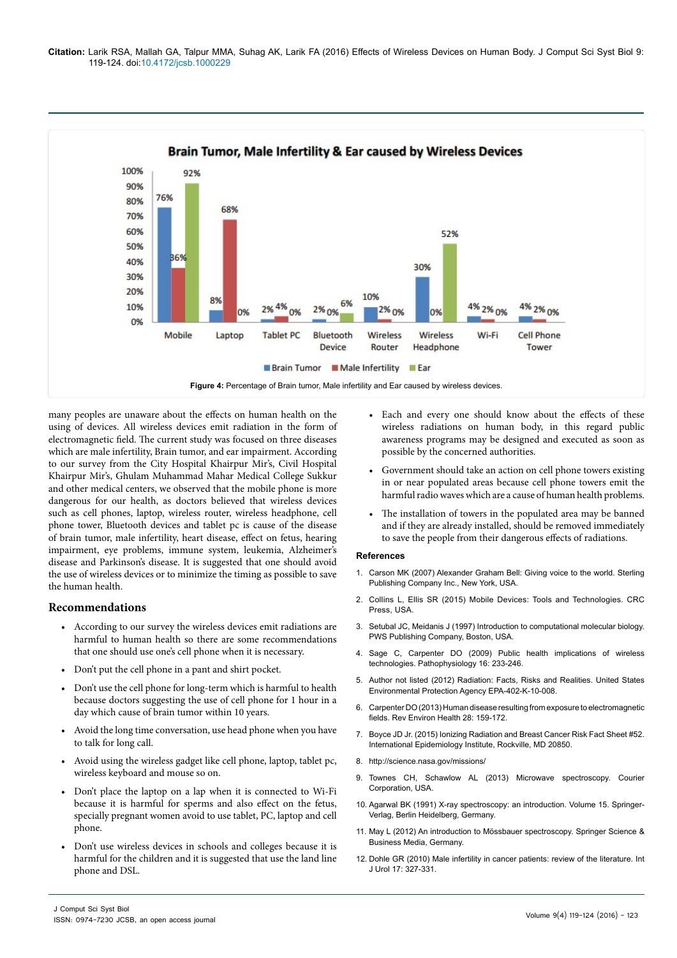

many peoples are unaware about the effects on human health on the using of devices. All wireless devices emit radiation in the form of electromagnetic field. The current study was focused on three diseases which are male infertility, Brain tumor, and ear impairment. According to our survey from the City Hospital Khairpur Mir's, Civil Hospital Khairpur Mir's, Ghulam Muhammad Mahar Medical College Sukkur and other medical centers, we observed that the mobile phone is more dangerous for our health, as doctors believed that wireless devices such as cell phones, laptop, wireless router, wireless headphone, cell phone tower, Bluetooth devices and tablet pc is cause of the disease of brain tumor, male infertility, heart disease, effect on fetus, hearing impairment, eye problems, immune system, leukemia, Alzheimer's disease and Parkinson's disease. It is suggested that one should avoid the use of wireless devices or to minimize the timing as possible to save the human health.

## **Recommendations**

- According to our survey the wireless devices emit radiations are harmful to human health so there are some recommendations that one should use one's cell phone when it is necessary.
- Don't put the cell phone in a pant and shirt pocket.
- Don't use the cell phone for long-term which is harmful to health because doctors suggesting the use of cell phone for 1 hour in a day which cause of brain tumor within 10 years.
- Avoid the long time conversation, use head phone when you have to talk for long call.
- Avoid using the wireless gadget like cell phone, laptop, tablet pc, wireless keyboard and mouse so on.
- Don't place the laptop on a lap when it is connected to Wi-Fi because it is harmful for sperms and also effect on the fetus, specially pregnant women avoid to use tablet, PC, laptop and cell phone.
- Don't use wireless devices in schools and colleges because it is harmful for the children and it is suggested that use the land line phone and DSL.
- Each and every one should know about the effects of these wireless radiations on human body, in this regard public awareness programs may be designed and executed as soon as possible by the concerned authorities.
- Government should take an action on cell phone towers existing in or near populated areas because cell phone towers emit the harmful radio waves which are a cause of human health problems.
- The installation of towers in the populated area may be banned and if they are already installed, should be removed immediately to save the people from their dangerous effects of radiations.

#### **References**

- 1. [Carson MK \(2007\) Alexander Graham Bell: Giving voice to the world. Sterling](https://books.google.co.in/books/about/Alexander_Graham_Bell.html?id=a46ivzJ1yboC&redir_esc=y)  [Publishing Company Inc., New York, USA.](https://books.google.co.in/books/about/Alexander_Graham_Bell.html?id=a46ivzJ1yboC&redir_esc=y)
- 2. [Collins L, Ellis SR \(2015\) Mobile Devices: Tools and Technologies. CRC](https://searchworks.stanford.edu/view/11111823)  [Press, USA.](https://searchworks.stanford.edu/view/11111823)
- 3. [Setubal JC, Meidanis J \(1997\) Introduction to computational molecular biology.](https://cdn.preterhuman.net/texts/science_and_technology/nature_and_biology/Bioinformatics/Introduction to Computational molecular biology  Carlos Setubal, Joao Meidanis.pdf)  [PWS Publishing Company, Boston, USA.](https://cdn.preterhuman.net/texts/science_and_technology/nature_and_biology/Bioinformatics/Introduction to Computational molecular biology - Carlos Setubal, Joao Meidanis.pdf)
- 4. [Sage C, Carpenter DO \(2009\) Public health implications of wireless](http://www.ncbi.nlm.nih.gov/pubmed/19285839)  [technologies. Pathophysiology 16: 233-246.](http://www.ncbi.nlm.nih.gov/pubmed/19285839)
- 5. [Author not listed \(2012\) Radiation: Facts, Risks and Realities. United States](https://www.epa.gov/sites/production/files/2015-05/documents/402-k-10-008.pdf)  [Environmental Protection Agency EPA-402-K-10-008.](https://www.epa.gov/sites/production/files/2015-05/documents/402-k-10-008.pdf)
- 6. [Carpenter DO \(2013\) Human disease resulting from exposure to electromagnetic](http://www.ncbi.nlm.nih.gov/pubmed/24280284)  [fields. Rev Environ Health 28: 159-172.](http://www.ncbi.nlm.nih.gov/pubmed/24280284)
- 7. [Boyce JD Jr. \(2015\) Ionizing Radiation and Breast Cancer Risk Fact Sheet #52.](http://www.mindfulwellnessmassageandbodywork.com/pages/articles/docs/102.pdfhttp:/www.mindfulwellnessmassageandbodywork.com/pages/articles/entry/102/)  [International Epidemiology Institute, Rockville, MD 20850.](http://www.mindfulwellnessmassageandbodywork.com/pages/articles/docs/102.pdfhttp:/www.mindfulwellnessmassageandbodywork.com/pages/articles/entry/102/)
- 8. <http://science.nasa.gov/missions/>
- 9. [Townes CH, Schawlow AL \(2013\) Microwave spectroscopy. Courier](https://books.google.co.in/books/about/Microwave_Spectroscopy.html?id=f33CAgAAQBAJ&redir_esc=y)  [Corporation, USA.](https://books.google.co.in/books/about/Microwave_Spectroscopy.html?id=f33CAgAAQBAJ&redir_esc=y)
- 10. [Agarwal BK \(1991\) X-ray spectroscopy: an introduction. Volume 15. Springer-](http://link.springer.com/book/10.1007%2F978-3-540-38668-1)[Verlag, Berlin Heidelberg, Germany.](http://link.springer.com/book/10.1007%2F978-3-540-38668-1)
- 11. May L (2012) An introduction to Mössbauer spectroscopy. Springer Science & Business Media, Germany.
- 12. [Dohle GR \(2010\) Male infertility in cancer patients: review of the literature. Int](http://www.ncbi.nlm.nih.gov/pubmed/20202000)  [J Urol 17: 327-331.](http://www.ncbi.nlm.nih.gov/pubmed/20202000)